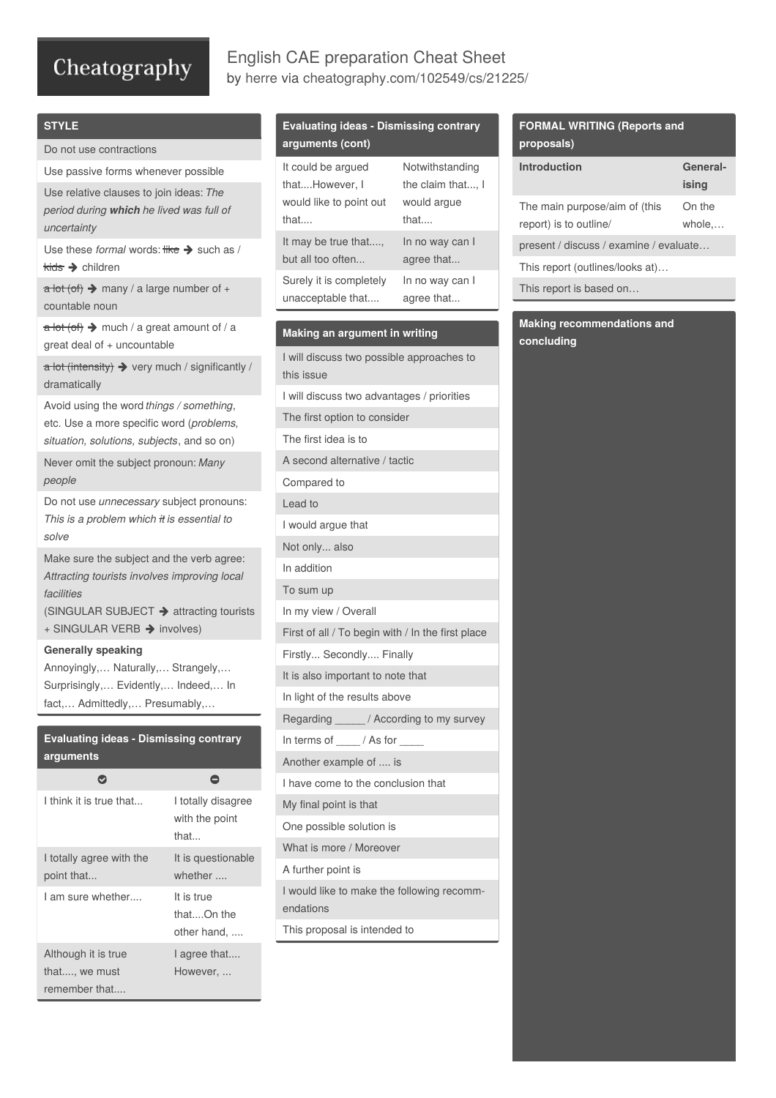# Cheatography

## English CAE preparation Cheat Sheet by [herre](http://www.cheatography.com/herre/) via [cheatography.com/102549/cs/21225/](http://www.cheatography.com/herre/cheat-sheets/english-cae-preparation)

### **STYLE**

Do not use contractions

Use passive forms whenever possible

Use relative clauses to join ideas: *The period during which he lived was full of uncertainty*

Use these *formal* words:  $\frac{d}{dt} \rightarrow \frac{1}{8}$  such as / **kids → children** 

 $\overline{a}$  lot (of)  $\rightarrow$  many / a large number of + countable noun

 $\frac{1}{a}$  lot (of)  $\rightarrow$  much / a great amount of / a great deal of + uncountable

 $\overline{\mathbf{a}}$  lot (intensity)  $\blacktriangleright$  very much / significantly / dramatically

Avoid using the word *things / something*, etc. Use a more specific word (*problems, situation, solutions, subjects*, and so on)

Never omit the subject pronoun: *Many people*

Do not use *unnecessary* subject pronouns: *This is a problem which it is essential to solve*

Make sure the subject and the verb agree: *Attracting tourists involves improving local facilities*

(SINGULAR SUBJECT  $\rightarrow$  attracting tourists + SINGULAR VERB  $\rightarrow$  involves)

#### **Generally speaking**

Annoyingly,… Naturally,… Strangely,… Surprisingly,… Evidently,… Indeed,… In fact,… Admittedly,… Presumably,…

# **Evaluating ideas - Dismissing contrary arguments**

| I think it is true that                               | I totally disagree<br>with the point<br>that |
|-------------------------------------------------------|----------------------------------------------|
| I totally agree with the<br>point that                | It is questionable<br>whether                |
| I am sure whether                                     | It is true<br>thatOn the<br>other hand,      |
| Although it is true<br>that, we must<br>remember that | I agree that<br>However                      |

### **Evaluating ideas - Dismissing contrary arguments (cont)**

| It could be argued      | Notwithstanding   |
|-------------------------|-------------------|
| thatHowever, I          | the claim that, I |
| would like to point out | would argue       |
| that                    | that $\ldots$     |
| It may be true that     | In no way can I   |
| but all too often       | agree that        |
| Surely it is completely | In no way can I   |
| unacceptable that       | agree that        |

#### **Making an argument in writing**

| I will discuss two possible approaches to<br>this issue |
|---------------------------------------------------------|
| I will discuss two advantages / priorities              |
| The first option to consider                            |
| The first idea is to                                    |
| A second alternative / tactic                           |
| Compared to                                             |
| Lead to                                                 |
| I would argue that                                      |
| Not only also                                           |
| In addition                                             |
| To sum up                                               |
| In my view / Overall                                    |
| First of all / To begin with / In the first place       |
| Firstly Secondly Finally                                |
| It is also important to note that                       |
| In light of the results above                           |
| Regarding ______/ According to my survey                |
| In terms of ____/ As for __                             |
| Another example of  is                                  |
| I have come to the conclusion that                      |
| My final point is that                                  |
| One possible solution is                                |
| What is more / Moreover                                 |
| A further point is                                      |
| I would like to make the following recomm-<br>endations |
| This proposal is intended to                            |
|                                                         |

### **FORMAL WRITING (Reports and proposals)**

| Introduction                                            | General-<br>ising |  |
|---------------------------------------------------------|-------------------|--|
| The main purpose/aim of (this<br>report) is to outline/ | On the<br>whole   |  |
| present / discuss / examine / evaluate                  |                   |  |
| This report (outlines/looks at)                         |                   |  |
| This report is based on                                 |                   |  |

**Making recommendations and concluding**